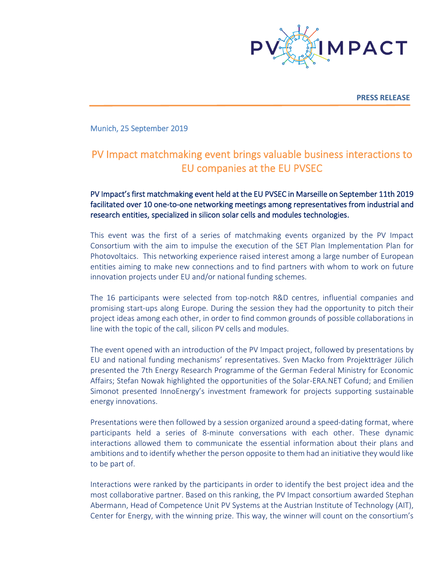

**PRESS RELEASE**

Munich, 25 September 2019

# PV Impact matchmaking event brings valuable business interactions to EU companies at the EU PVSEC

PV Impact's first matchmaking event held at the EU PVSEC in Marseille on September 11th 2019 facilitated over 10 one-to-one networking meetings among representatives from industrial and research entities, specialized in silicon solar cells and modules technologies.

This event was the first of a series of matchmaking events organized by the PV Impact Consortium with the aim to impulse the execution of the SET Plan Implementation Plan for Photovoltaics. This networking experience raised interest among a large number of European entities aiming to make new connections and to find partners with whom to work on future innovation projects under EU and/or national funding schemes.

The 16 participants were selected from top-notch R&D centres, influential companies and promising start-ups along Europe. During the session they had the opportunity to pitch their project ideas among each other, in order to find common grounds of possible collaborations in line with the topic of the call, silicon PV cells and modules.

The event opened with an introduction of the PV Impact project, followed by presentations by EU and national funding mechanisms' representatives. Sven Macko from Projektträger Jülich presented the 7th Energy Research Programme of the German Federal Ministry for Economic Affairs; Stefan Nowak highlighted the opportunities of the Solar-ERA.NET Cofund; and Emilien Simonot presented InnoEnergy's investment framework for projects supporting sustainable energy innovations.

Presentations were then followed by a session organized around a speed-dating format, where participants held a series of 8-minute conversations with each other. These dynamic interactions allowed them to communicate the essential information about their plans and ambitions and to identify whether the person opposite to them had an initiative they would like to be part of.

Interactions were ranked by the participants in order to identify the best project idea and the most collaborative partner. Based on this ranking, the PV Impact consortium awarded Stephan Abermann, Head of Competence Unit PV Systems at the Austrian Institute of Technology (AIT), Center for Energy, with the winning prize. This way, the winner will count on the consortium's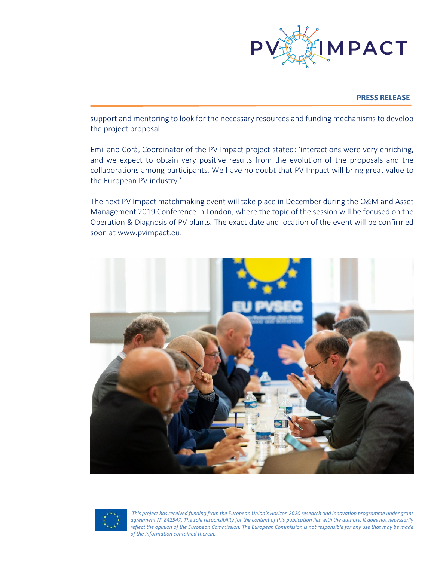

## **PRESS RELEASE**

support and mentoring to look for the necessary resources and funding mechanisms to develop the project proposal.

Emiliano Corà, Coordinator of the PV Impact project stated: 'interactions were very enriching, and we expect to obtain very positive results from the evolution of the proposals and the collaborations among participants. We have no doubt that PV Impact will bring great value to the European PV industry.'

The next PV Impact matchmaking event will take place in December during the O&M and Asset Management 2019 Conference in London, where the topic of the session will be focused on the Operation & Diagnosis of PV plants. The exact date and location of the event will be confirmed soon at www.pvimpact.eu.





*This project has received funding from the European Union's Horizon 2020 research and innovation programme under grant agreement N<sup>o</sup> 842547. The sole responsibility for the content of this publication lies with the authors. It does not necessarily reflect the opinion of the European Commission. The European Commission is not responsible for any use that may be made of the information contained therein.*